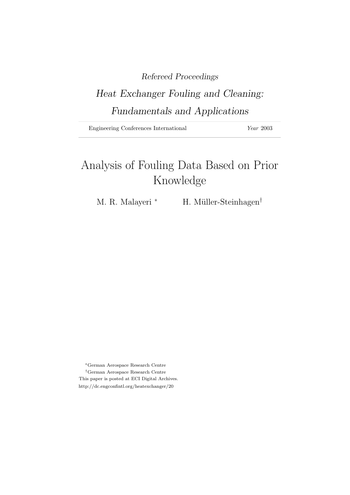# Refereed Proceedings

# Heat Exchanger Fouling and Cleaning: Fundamentals and Applications

Engineering Conferences International Year 2003

# Analysis of Fouling Data Based on Prior Knowledge

M. R. Malayeri <sup>∗</sup> H. Müller-Steinhagen<sup>†</sup>

<sup>∗</sup>German Aerospace Research Centre †German Aerospace Research Centre This paper is posted at ECI Digital Archives. http://dc.engconfintl.org/heatexchanger/20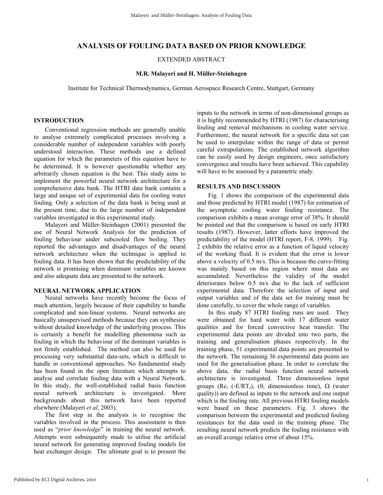# **ANALYSIS OF FOULING DATA BASED ON PRIOR KNOWLEDGE**

EXTENDED ABSTRACT

#### **M.R. Malayeri and H. Müller-Steinhagen**

Institute for Technical Thermodynamics, German Aerospace Research Centre, Stuttgart, Germany

### **INTRODUCTION**

Conventional regression methods are generally unable to analyse extremely complicated processes involving a considerable number of independent variables with poorly understood interaction. These methods use a defined equation for which the parameters of this equation have to be determined. It is however questionable whether any arbitrarily chosen equation is the best. This study aims to implement the powerful neural network architecture for a comprehensive data bank. The HTRI data bank contains a large and unique set of experimental data for cooling water fouling. Only a selection of the data bank is being used at the present time, due to the large number of independent variables investigated in this experimental study.

Malayeri and Müller-Steinhagen (2001) presented the use of Neural Network Analysis for the prediction of fouling behaviour under subcooled flow boiling. They reported the advantages and disadvantages of the neural network architecture when the technique is applied to fouling data. It has been shown that the predictability of the network is promising when dominant variables are known and also adequate data are presented to the network.

#### **NEURAL NETWORK APPLICATION**

Neural networks have recently become the focus of much attention, largely because of their capability to handle complicated and non-linear systems. Neural networks are basically unsupervised methods because they can synthesise without detailed knowledge of the underlying process. This is certainly a benefit for modelling phenomena such as fouling in which the behaviour of the dominant variables is not firmly established. The method can also be used for processing very substantial data-sets, which is difficult to handle in conventional approaches. No fundamental study has been found in the open literature which attempts to analyse and correlate fouling data with a Neural Network. In this study, the well-established radial basis function neural network architecture is investigated. More backgrounds about this network have been reported elsewhere (Malayeri *et al*, 2003).

The first step in the analysis is to recognise the variables involved in the process. This assessment is then used as "*prior knowledge*" in training the neural network. Attempts were subsequently made to utilise the artificial neural network for generating improved fouling models for heat exchanger design. The ultimate goal is to present the

inputs to the network in terms of non-dimensional groups as it is highly recommended by HTRI (1987) for characterising fouling and removal mechanisms in cooling water service. Furthermore, the neural network for a specific data set can be used to interpolate within the range of data or permit careful extrapolations. The established network algorithm can be easily used by design engineers, once satisfactory convergence and results have been achieved. This capability will have to be assessed by a parametric study.

#### **RESULTS AND DISCUSSION**

Fig. 1 shows the comparison of the experimental data and those predicted by HTRI model (1987) for estimation of the asymptotic cooling water fouling resistance. The comparison exhibits a mean average error of 38%. It should be pointed out that the comparison is based on early HTRI results (1987). However, latter efforts have improved the predictability of the model (HTRI report, F-8, 1999). Fig. 2 exhibits the relative error as a function of liquid velocity of the working fluid. It is evident that the error is lower above a velocity of 0.5 m/s. This is because the curve-fitting was mainly based on this region where most data are accumulated. Nevertheless the validity of the model deteriorates below 0.5 m/s due to the lack of sufficient experimental data. Therefore the selection of input and output variables and of the data set for training must be done carefully, to cover the whole range of variables.

In this study 87 HTRI fouling runs are used. They were obtained for hard water with 17 different water qualities and for forced convective heat transfer. The experimental data points are divided into two parts, the training and generalisation phases respectively. In the training phase, 51 experimental data points are presented to the network. The remaining 36 experimental data points are used for the generalisation phase. In order to correlate the above data, the radial basis function neural network architecture is investigated. Three dimensionless input groups (Re, (-E/RT<sub>s</sub>), (θ, dimensionless time),  $\Omega$  (water quality)) are defined as inputs to the network and one output which is the fouling rate. All previous HTRI fouling models were based on these parameters. Fig. 3 shows the comparison between the experimental and predicted fouling resistances for the data used in the training phase. The resulting neural network predicts the fouling resistance with an overall average relative error of about 15%.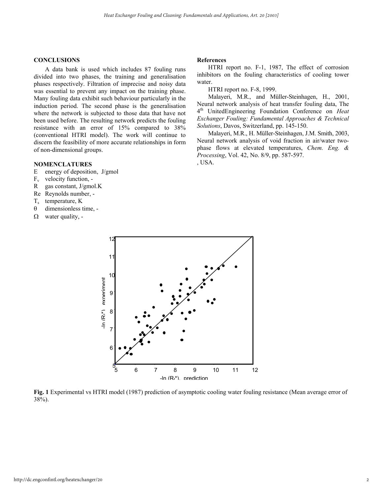## **CONCLUSIONS**

A data bank is used which includes 87 fouling runs divided into two phases, the training and generalisation phases respectively. Filtration of imprecise and noisy data was essential to prevent any impact on the training phase. Many fouling data exhibit such behaviour particularly in the induction period. The second phase is the generalisation where the network is subjected to those data that have not been used before. The resulting network predicts the fouling resistance with an error of 15% compared to 38% (conventional HTRI model). The work will continue to discern the feasibility of more accurate relationships in form of non-dimensional groups.

### **NOMENCLATURES**

- E energy of deposition, J/gmol
- $F_v$  velocity function, -
- R gas constant, J/gmol.K
- Re Reynolds number, -
- $T_s$  temperature,  $K$
- θ dimensionless time, -
- $\Omega$  water quality, -

#### **References**

HTRI report no. F-1, 1987, The effect of corrosion inhibitors on the fouling characteristics of cooling tower water.

HTRI report no. F-8, 1999.

 Malayeri, M.R., and Müller-Steinhagen, H., 2001, Neural network analysis of heat transfer fouling data, The 4th UnitedEngineering Foundation Conference on *Heat Exchanger Fouling: Fundamental Approaches & Technical Solutions*, Davos, Switzerland, pp. 145-150.

Malayeri, M.R., H. Müller-Steinhagen, J.M. Smith, 2003, Neural network analysis of void fraction in air/water twophase flows at elevated temperatures, *Chem. Eng. & Processing*, Vol. 42, No. 8/9, pp. 587-597. , USA.



**Fig. 1** Experimental vs HTRI model (1987) prediction of asymptotic cooling water fouling resistance (Mean average error of 38%).